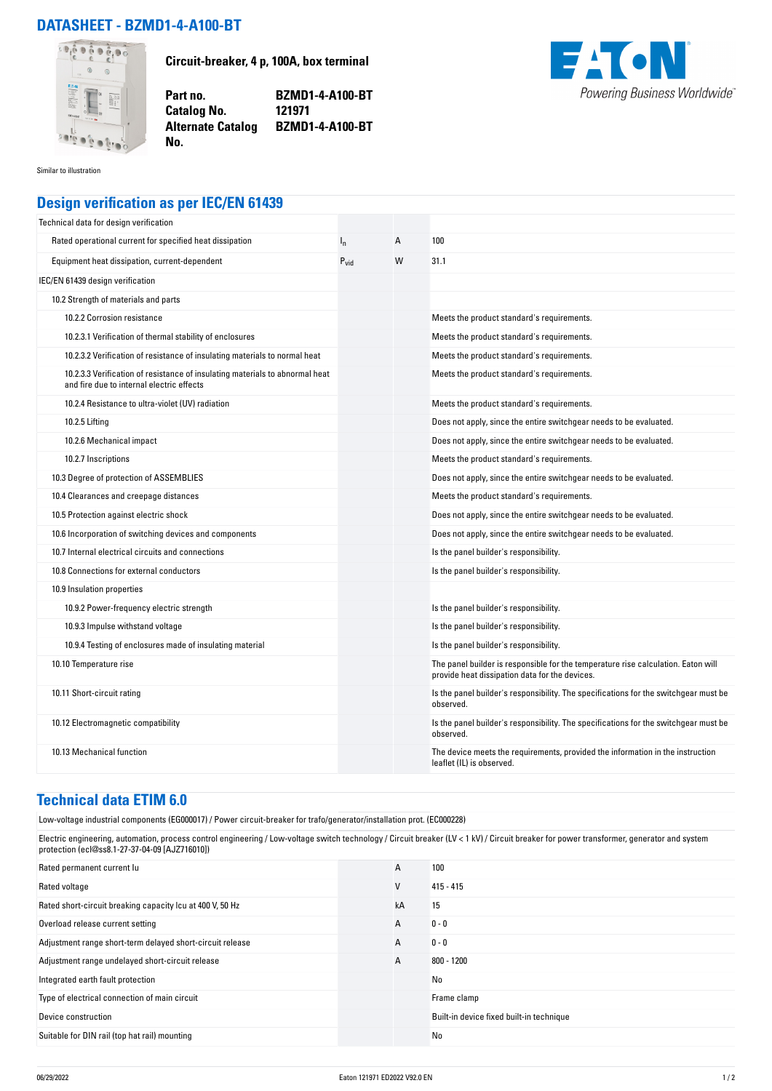## **DATASHEET - BZMD1-4-A100-BT**



**Circuit-breaker, 4 p, 100A, box terminal**

**Part no. BZMD1-4-A100-BT Alternate Catalog BZMD1-4-A100-BT**



Similar to illustration

## **Design verification as per IEC/EN 61439**

**No.** 

**Catalog No.** 

| Technical data for design verification                                                                                    |                  |   |                                                                                                                                     |
|---------------------------------------------------------------------------------------------------------------------------|------------------|---|-------------------------------------------------------------------------------------------------------------------------------------|
| Rated operational current for specified heat dissipation                                                                  | $I_{n}$          | A | 100                                                                                                                                 |
| Equipment heat dissipation, current-dependent                                                                             | $P_{\text{vid}}$ | W | 31.1                                                                                                                                |
| IEC/EN 61439 design verification                                                                                          |                  |   |                                                                                                                                     |
| 10.2 Strength of materials and parts                                                                                      |                  |   |                                                                                                                                     |
| 10.2.2 Corrosion resistance                                                                                               |                  |   | Meets the product standard's requirements.                                                                                          |
| 10.2.3.1 Verification of thermal stability of enclosures                                                                  |                  |   | Meets the product standard's requirements.                                                                                          |
| 10.2.3.2 Verification of resistance of insulating materials to normal heat                                                |                  |   | Meets the product standard's requirements.                                                                                          |
| 10.2.3.3 Verification of resistance of insulating materials to abnormal heat<br>and fire due to internal electric effects |                  |   | Meets the product standard's requirements.                                                                                          |
| 10.2.4 Resistance to ultra-violet (UV) radiation                                                                          |                  |   | Meets the product standard's requirements.                                                                                          |
| 10.2.5 Lifting                                                                                                            |                  |   | Does not apply, since the entire switchgear needs to be evaluated.                                                                  |
| 10.2.6 Mechanical impact                                                                                                  |                  |   | Does not apply, since the entire switchgear needs to be evaluated.                                                                  |
| 10.2.7 Inscriptions                                                                                                       |                  |   | Meets the product standard's requirements.                                                                                          |
| 10.3 Degree of protection of ASSEMBLIES                                                                                   |                  |   | Does not apply, since the entire switchgear needs to be evaluated.                                                                  |
| 10.4 Clearances and creepage distances                                                                                    |                  |   | Meets the product standard's requirements.                                                                                          |
| 10.5 Protection against electric shock                                                                                    |                  |   | Does not apply, since the entire switchgear needs to be evaluated.                                                                  |
| 10.6 Incorporation of switching devices and components                                                                    |                  |   | Does not apply, since the entire switchgear needs to be evaluated.                                                                  |
| 10.7 Internal electrical circuits and connections                                                                         |                  |   | Is the panel builder's responsibility.                                                                                              |
| 10.8 Connections for external conductors                                                                                  |                  |   | Is the panel builder's responsibility.                                                                                              |
| 10.9 Insulation properties                                                                                                |                  |   |                                                                                                                                     |
| 10.9.2 Power-frequency electric strength                                                                                  |                  |   | Is the panel builder's responsibility.                                                                                              |
| 10.9.3 Impulse withstand voltage                                                                                          |                  |   | Is the panel builder's responsibility.                                                                                              |
| 10.9.4 Testing of enclosures made of insulating material                                                                  |                  |   | Is the panel builder's responsibility.                                                                                              |
| 10.10 Temperature rise                                                                                                    |                  |   | The panel builder is responsible for the temperature rise calculation. Eaton will<br>provide heat dissipation data for the devices. |
| 10.11 Short-circuit rating                                                                                                |                  |   | Is the panel builder's responsibility. The specifications for the switchgear must be<br>observed.                                   |
| 10.12 Electromagnetic compatibility                                                                                       |                  |   | Is the panel builder's responsibility. The specifications for the switchgear must be<br>observed.                                   |
| 10.13 Mechanical function                                                                                                 |                  |   | The device meets the requirements, provided the information in the instruction<br>leaflet (IL) is observed.                         |

## **Technical data ETIM 6.0**

Low-voltage industrial components (EG000017) / Power circuit-breaker for trafo/generator/installation prot. (EC000228)

Electric engineering, automation, process control engineering / Low-voltage switch technology / Circuit breaker (LV < 1 kV) / Circuit breaker for power transformer, generator and system protection (ecl@ss8.1-27-37-04-09 [AJZ716010])

| Rated permanent current lu                                | A  | 100                                      |
|-----------------------------------------------------------|----|------------------------------------------|
| Rated voltage                                             | V  | $415 - 415$                              |
| Rated short-circuit breaking capacity Icu at 400 V, 50 Hz | kA | 15                                       |
| Overload release current setting                          | А  | $0 - 0$                                  |
| Adjustment range short-term delayed short-circuit release | A  | $0 - 0$                                  |
| Adjustment range undelayed short-circuit release          | A  | 800 - 1200                               |
| Integrated earth fault protection                         |    | No                                       |
| Type of electrical connection of main circuit             |    | Frame clamp                              |
| Device construction                                       |    | Built-in device fixed built-in technique |
| Suitable for DIN rail (top hat rail) mounting             |    | No                                       |